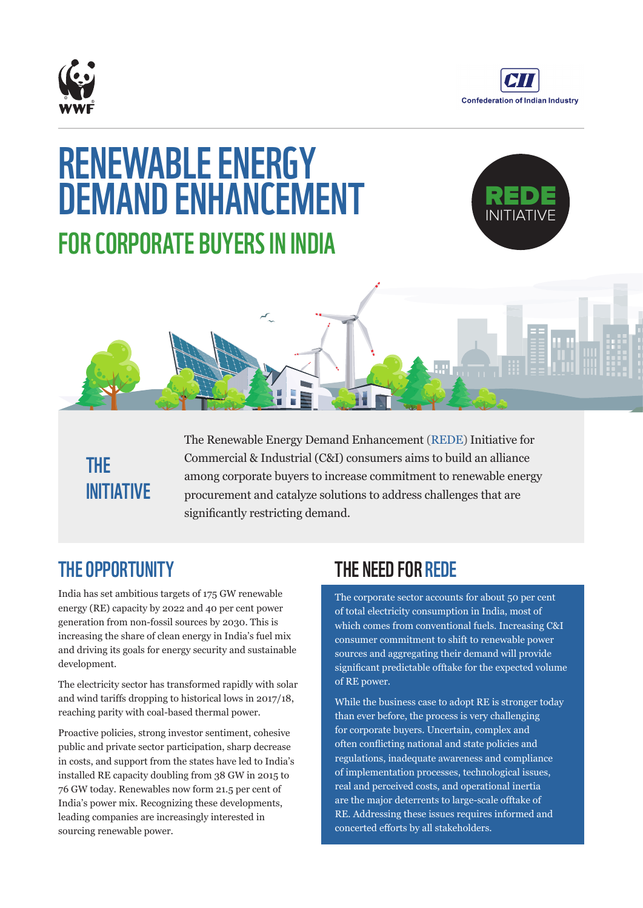



# RENEWABLE ENERGY DEMAND ENHANCEMENT FOR CORPORATE BUYERS IN INDIA





## THE INITIATIVE

The Renewable Energy Demand Enhancement (REDE) Initiative for Commercial & Industrial (C&I) consumers aims to build an alliance among corporate buyers to increase commitment to renewable energy procurement and catalyze solutions to address challenges that are significantly restricting demand.

## THE OPPORTUNITY

India has set ambitious targets of 175 GW renewable energy (RE) capacity by 2022 and 40 per cent power generation from non-fossil sources by 2030. This is increasing the share of clean energy in India's fuel mix and driving its goals for energy security and sustainable development.

The electricity sector has transformed rapidly with solar and wind tariffs dropping to historical lows in 2017/18, reaching parity with coal-based thermal power.

Proactive policies, strong investor sentiment, cohesive public and private sector participation, sharp decrease in costs, and support from the states have led to India's installed RE capacity doubling from 38 GW in 2015 to 76 GW today. Renewables now form 21.5 per cent of India's power mix. Recognizing these developments, leading companies are increasingly interested in sourcing renewable power.

#### THE NEED FOR REDE

The corporate sector accounts for about 50 per cent of total electricity consumption in India, most of which comes from conventional fuels. Increasing C&I consumer commitment to shift to renewable power sources and aggregating their demand will provide significant predictable offtake for the expected volume of RE power.

While the business case to adopt RE is stronger today than ever before, the process is very challenging for corporate buyers. Uncertain, complex and often conflicting national and state policies and regulations, inadequate awareness and compliance of implementation processes, technological issues, real and perceived costs, and operational inertia are the major deterrents to large-scale offtake of RE. Addressing these issues requires informed and concerted efforts by all stakeholders.